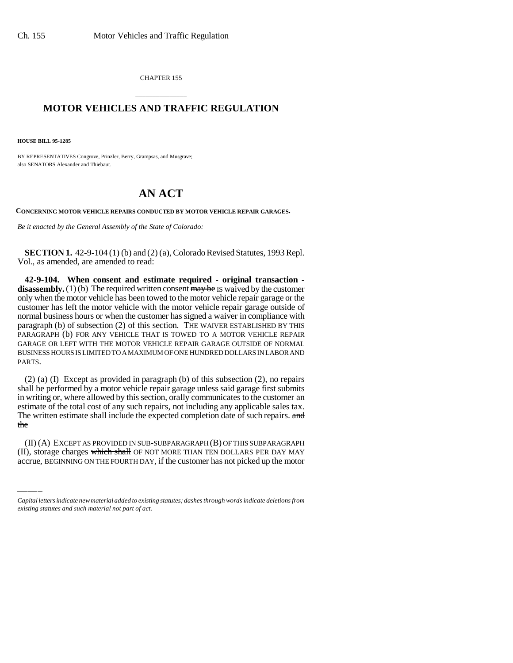CHAPTER 155

## \_\_\_\_\_\_\_\_\_\_\_\_\_\_\_ **MOTOR VEHICLES AND TRAFFIC REGULATION** \_\_\_\_\_\_\_\_\_\_\_\_\_\_\_

**HOUSE BILL 95-1285**

BY REPRESENTATIVES Congrove, Prinzler, Berry, Grampsas, and Musgrave; also SENATORS Alexander and Thiebaut.

## **AN ACT**

**CONCERNING MOTOR VEHICLE REPAIRS CONDUCTED BY MOTOR VEHICLE REPAIR GARAGES.**

*Be it enacted by the General Assembly of the State of Colorado:*

**SECTION 1.** 42-9-104 (1) (b) and (2) (a), Colorado Revised Statutes, 1993 Repl. Vol., as amended, are amended to read:

**42-9-104. When consent and estimate required - original transaction disassembly.** (1) (b) The required written consent  $\overline{may}$  be IS waived by the customer only when the motor vehicle has been towed to the motor vehicle repair garage or the customer has left the motor vehicle with the motor vehicle repair garage outside of normal business hours or when the customer has signed a waiver in compliance with paragraph (b) of subsection (2) of this section. THE WAIVER ESTABLISHED BY THIS PARAGRAPH (b) FOR ANY VEHICLE THAT IS TOWED TO A MOTOR VEHICLE REPAIR GARAGE OR LEFT WITH THE MOTOR VEHICLE REPAIR GARAGE OUTSIDE OF NORMAL BUSINESS HOURS IS LIMITED TO A MAXIMUM OF ONE HUNDRED DOLLARS IN LABOR AND PARTS.

the (2) (a) (I) Except as provided in paragraph (b) of this subsection (2), no repairs shall be performed by a motor vehicle repair garage unless said garage first submits in writing or, where allowed by this section, orally communicates to the customer an estimate of the total cost of any such repairs, not including any applicable sales tax. The written estimate shall include the expected completion date of such repairs. and

(II) (A) EXCEPT AS PROVIDED IN SUB-SUBPARAGRAPH (B) OF THIS SUBPARAGRAPH (II), storage charges which shall OF NOT MORE THAN TEN DOLLARS PER DAY MAY accrue, BEGINNING ON THE FOURTH DAY, if the customer has not picked up the motor

*Capital letters indicate new material added to existing statutes; dashes through words indicate deletions from existing statutes and such material not part of act.*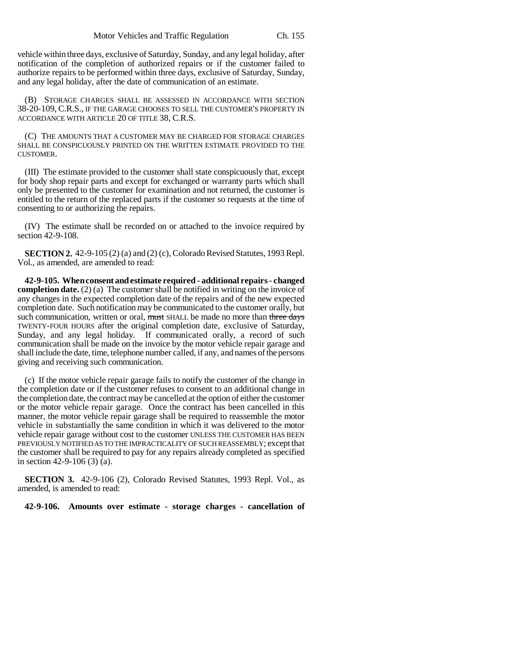vehicle within three days, exclusive of Saturday, Sunday, and any legal holiday, after notification of the completion of authorized repairs or if the customer failed to authorize repairs to be performed within three days, exclusive of Saturday, Sunday, and any legal holiday, after the date of communication of an estimate.

(B) STORAGE CHARGES SHALL BE ASSESSED IN ACCORDANCE WITH SECTION 38-20-109, C.R.S., IF THE GARAGE CHOOSES TO SELL THE CUSTOMER'S PROPERTY IN ACCORDANCE WITH ARTICLE 20 OF TITLE 38, C.R.S.

(C) THE AMOUNTS THAT A CUSTOMER MAY BE CHARGED FOR STORAGE CHARGES SHALL BE CONSPICUOUSLY PRINTED ON THE WRITTEN ESTIMATE PROVIDED TO THE CUSTOMER.

(III) The estimate provided to the customer shall state conspicuously that, except for body shop repair parts and except for exchanged or warranty parts which shall only be presented to the customer for examination and not returned, the customer is entitled to the return of the replaced parts if the customer so requests at the time of consenting to or authorizing the repairs.

(IV) The estimate shall be recorded on or attached to the invoice required by section 42-9-108.

**SECTION 2.** 42-9-105 (2) (a) and (2) (c), Colorado Revised Statutes, 1993 Repl. Vol., as amended, are amended to read:

**42-9-105. When consent and estimate required - additional repairs - changed completion date.** (2) (a) The customer shall be notified in writing on the invoice of any changes in the expected completion date of the repairs and of the new expected completion date. Such notification may be communicated to the customer orally, but such communication, written or oral, must SHALL be made no more than three days TWENTY-FOUR HOURS after the original completion date, exclusive of Saturday, Sunday, and any legal holiday. If communicated orally, a record of such communication shall be made on the invoice by the motor vehicle repair garage and shall include the date, time, telephone number called, if any, and names of the persons giving and receiving such communication.

(c) If the motor vehicle repair garage fails to notify the customer of the change in the completion date or if the customer refuses to consent to an additional change in the completion date, the contract may be cancelled at the option of either the customer or the motor vehicle repair garage. Once the contract has been cancelled in this manner, the motor vehicle repair garage shall be required to reassemble the motor vehicle in substantially the same condition in which it was delivered to the motor vehicle repair garage without cost to the customer UNLESS THE CUSTOMER HAS BEEN PREVIOUSLY NOTIFIED AS TO THE IMPRACTICALITY OF SUCH REASSEMBLY; except that the customer shall be required to pay for any repairs already completed as specified in section 42-9-106 (3) (a).

**SECTION 3.** 42-9-106 (2), Colorado Revised Statutes, 1993 Repl. Vol., as amended, is amended to read:

**42-9-106. Amounts over estimate - storage charges - cancellation of**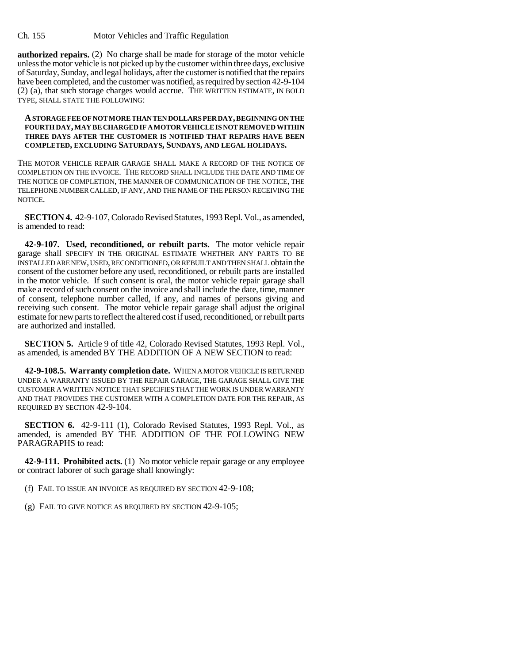**authorized repairs.** (2) No charge shall be made for storage of the motor vehicle unless the motor vehicle is not picked up by the customer within three days, exclusive of Saturday, Sunday, and legal holidays, after the customer is notified that the repairs have been completed, and the customer was notified, as required by section 42-9-104 (2) (a), that such storage charges would accrue. THE WRITTEN ESTIMATE, IN BOLD TYPE, SHALL STATE THE FOLLOWING:

## **A STORAGE FEE OF NOT MORE THAN TEN DOLLARS PER DAY, BEGINNING ON THE FOURTH DAY, MAY BE CHARGED IF A MOTOR VEHICLE IS NOT REMOVED WITHIN THREE DAYS AFTER THE CUSTOMER IS NOTIFIED THAT REPAIRS HAVE BEEN COMPLETED, EXCLUDING SATURDAYS, SUNDAYS, AND LEGAL HOLIDAYS.**

THE MOTOR VEHICLE REPAIR GARAGE SHALL MAKE A RECORD OF THE NOTICE OF COMPLETION ON THE INVOICE. THE RECORD SHALL INCLUDE THE DATE AND TIME OF THE NOTICE OF COMPLETION, THE MANNER OF COMMUNICATION OF THE NOTICE, THE TELEPHONE NUMBER CALLED, IF ANY, AND THE NAME OF THE PERSON RECEIVING THE NOTICE.

**SECTION 4.** 42-9-107, Colorado Revised Statutes, 1993 Repl. Vol., as amended, is amended to read:

**42-9-107. Used, reconditioned, or rebuilt parts.** The motor vehicle repair garage shall SPECIFY IN THE ORIGINAL ESTIMATE WHETHER ANY PARTS TO BE INSTALLED ARE NEW, USED, RECONDITIONED, OR REBUILT AND THEN SHALL obtain the consent of the customer before any used, reconditioned, or rebuilt parts are installed in the motor vehicle. If such consent is oral, the motor vehicle repair garage shall make a record of such consent on the invoice and shall include the date, time, manner of consent, telephone number called, if any, and names of persons giving and receiving such consent. The motor vehicle repair garage shall adjust the original estimate for new parts to reflect the altered cost if used, reconditioned, or rebuilt parts are authorized and installed.

**SECTION 5.** Article 9 of title 42, Colorado Revised Statutes, 1993 Repl. Vol., as amended, is amended BY THE ADDITION OF A NEW SECTION to read:

**42-9-108.5. Warranty completion date.** WHEN A MOTOR VEHICLE IS RETURNED UNDER A WARRANTY ISSUED BY THE REPAIR GARAGE, THE GARAGE SHALL GIVE THE CUSTOMER A WRITTEN NOTICE THAT SPECIFIES THAT THE WORK IS UNDER WARRANTY AND THAT PROVIDES THE CUSTOMER WITH A COMPLETION DATE FOR THE REPAIR, AS REQUIRED BY SECTION 42-9-104.

**SECTION 6.** 42-9-111 (1), Colorado Revised Statutes, 1993 Repl. Vol., as amended, is amended BY THE ADDITION OF THE FOLLOWING NEW PARAGRAPHS to read:

**42-9-111. Prohibited acts.** (1) No motor vehicle repair garage or any employee or contract laborer of such garage shall knowingly:

(f) FAIL TO ISSUE AN INVOICE AS REQUIRED BY SECTION 42-9-108;

(g) FAIL TO GIVE NOTICE AS REQUIRED BY SECTION 42-9-105;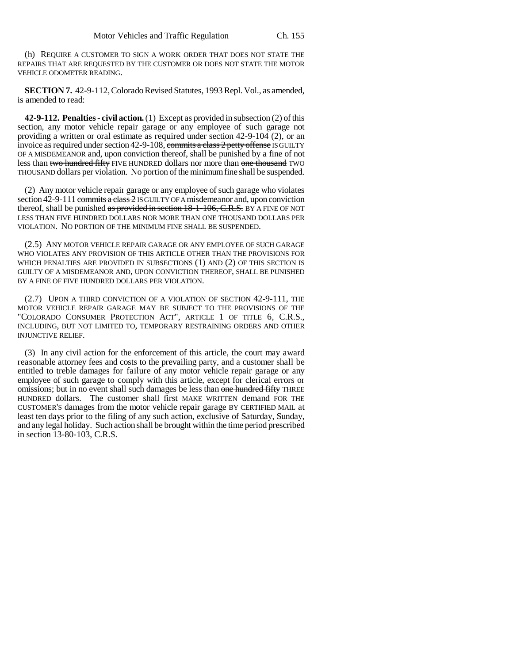(h) REQUIRE A CUSTOMER TO SIGN A WORK ORDER THAT DOES NOT STATE THE REPAIRS THAT ARE REQUESTED BY THE CUSTOMER OR DOES NOT STATE THE MOTOR VEHICLE ODOMETER READING.

**SECTION 7.** 42-9-112, Colorado Revised Statutes, 1993 Repl. Vol., as amended, is amended to read:

**42-9-112. Penalties - civil action.** (1) Except as provided in subsection (2) of this section, any motor vehicle repair garage or any employee of such garage not providing a written or oral estimate as required under section 42-9-104 (2), or an invoice as required under section 42-9-108, commits a class 2 petty offense IS GUILTY OF A MISDEMEANOR and, upon conviction thereof, shall be punished by a fine of not less than two hundred fifty FIVE HUNDRED dollars nor more than one thousand TWO THOUSAND dollars per violation. No portion of the minimum fine shall be suspended.

(2) Any motor vehicle repair garage or any employee of such garage who violates section 42-9-111 commits a class 2 IS GUILTY OF A misdemeanor and, upon conviction thereof, shall be punished as provided in section 18-1-106, C.R.S. BY A FINE OF NOT LESS THAN FIVE HUNDRED DOLLARS NOR MORE THAN ONE THOUSAND DOLLARS PER VIOLATION. NO PORTION OF THE MINIMUM FINE SHALL BE SUSPENDED.

(2.5) ANY MOTOR VEHICLE REPAIR GARAGE OR ANY EMPLOYEE OF SUCH GARAGE WHO VIOLATES ANY PROVISION OF THIS ARTICLE OTHER THAN THE PROVISIONS FOR WHICH PENALTIES ARE PROVIDED IN SUBSECTIONS (1) AND (2) OF THIS SECTION IS GUILTY OF A MISDEMEANOR AND, UPON CONVICTION THEREOF, SHALL BE PUNISHED BY A FINE OF FIVE HUNDRED DOLLARS PER VIOLATION.

(2.7) UPON A THIRD CONVICTION OF A VIOLATION OF SECTION 42-9-111, THE MOTOR VEHICLE REPAIR GARAGE MAY BE SUBJECT TO THE PROVISIONS OF THE "COLORADO CONSUMER PROTECTION ACT", ARTICLE 1 OF TITLE 6, C.R.S., INCLUDING, BUT NOT LIMITED TO, TEMPORARY RESTRAINING ORDERS AND OTHER INJUNCTIVE RELIEF.

(3) In any civil action for the enforcement of this article, the court may award reasonable attorney fees and costs to the prevailing party, and a customer shall be entitled to treble damages for failure of any motor vehicle repair garage or any employee of such garage to comply with this article, except for clerical errors or omissions; but in no event shall such damages be less than one hundred fifty THREE HUNDRED dollars. The customer shall first MAKE WRITTEN demand FOR THE CUSTOMER'S damages from the motor vehicle repair garage BY CERTIFIED MAIL at least ten days prior to the filing of any such action, exclusive of Saturday, Sunday, and any legal holiday. Such action shall be brought within the time period prescribed in section 13-80-103, C.R.S.